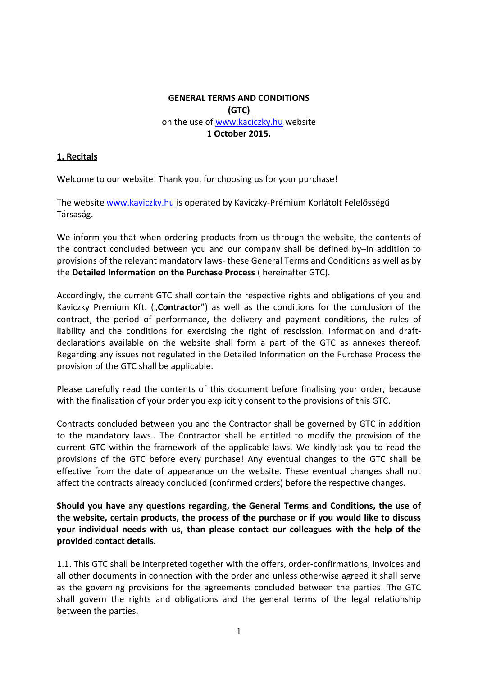# **GENERAL TERMS AND CONDITIONS (GTC)** on the use of [www.kaciczky.hu](http://www.kaciczky.hu/) website **1 October 2015.**

### **1. Recitals**

Welcome to our website! Thank you, for choosing us for your purchase!

The websit[e www.kaviczky.hu](http://www.kaviczky.hu/) is operated by Kaviczky-Prémium Korlátolt Felelősségű Társaság.

We inform you that when ordering products from us through the website, the contents of the contract concluded between you and our company shall be defined by–in addition to provisions of the relevant mandatory laws- these General Terms and Conditions as well as by the **Detailed Information on the Purchase Process** ( hereinafter GTC).

Accordingly, the current GTC shall contain the respective rights and obligations of you and Kaviczky Premium Kft. ("**Contractor**") as well as the conditions for the conclusion of the contract, the period of performance, the delivery and payment conditions, the rules of liability and the conditions for exercising the right of rescission. Information and draftdeclarations available on the website shall form a part of the GTC as annexes thereof. Regarding any issues not regulated in the Detailed Information on the Purchase Process the provision of the GTC shall be applicable.

Please carefully read the contents of this document before finalising your order, because with the finalisation of your order you explicitly consent to the provisions of this GTC.

Contracts concluded between you and the Contractor shall be governed by GTC in addition to the mandatory laws.. The Contractor shall be entitled to modify the provision of the current GTC within the framework of the applicable laws. We kindly ask you to read the provisions of the GTC before every purchase! Any eventual changes to the GTC shall be effective from the date of appearance on the website. These eventual changes shall not affect the contracts already concluded (confirmed orders) before the respective changes.

**Should you have any questions regarding, the General Terms and Conditions, the use of the website, certain products, the process of the purchase or if you would like to discuss your individual needs with us, than please contact our colleagues with the help of the provided contact details.**

1.1. This GTC shall be interpreted together with the offers, order-confirmations, invoices and all other documents in connection with the order and unless otherwise agreed it shall serve as the governing provisions for the agreements concluded between the parties. The GTC shall govern the rights and obligations and the general terms of the legal relationship between the parties.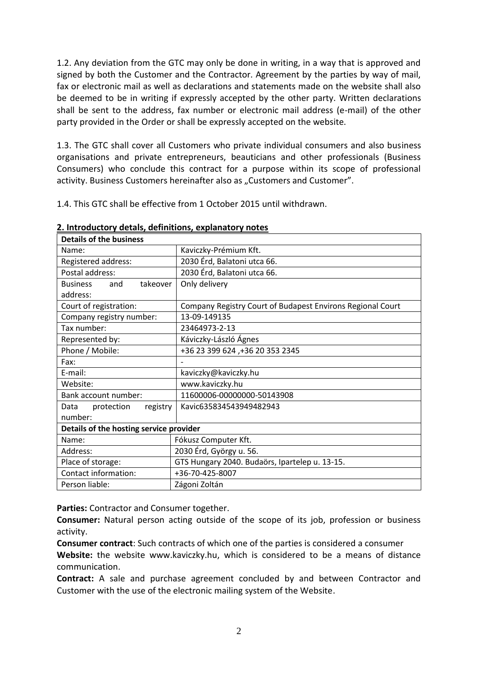1.2. Any deviation from the GTC may only be done in writing, in a way that is approved and signed by both the Customer and the Contractor. Agreement by the parties by way of mail, fax or electronic mail as well as declarations and statements made on the website shall also be deemed to be in writing if expressly accepted by the other party. Written declarations shall be sent to the address, fax number or electronic mail address (e-mail) of the other party provided in the Order or shall be expressly accepted on the website.

1.3. The GTC shall cover all Customers who private individual consumers and also business organisations and private entrepreneurs, beauticians and other professionals (Business Consumers) who conclude this contract for a purpose within its scope of professional activity. Business Customers hereinafter also as "Customers and Customer".

1.4. This GTC shall be effective from 1 October 2015 until withdrawn.

| <b>Details of the business</b>          |                                                            |
|-----------------------------------------|------------------------------------------------------------|
| Name:                                   | Kaviczky-Prémium Kft.                                      |
| Registered address:                     | 2030 Érd, Balatoni utca 66.                                |
| Postal address:                         | 2030 Érd, Balatoni utca 66.                                |
| takeover<br><b>Business</b><br>and      | Only delivery                                              |
| address:                                |                                                            |
| Court of registration:                  | Company Registry Court of Budapest Environs Regional Court |
| Company registry number:                | 13-09-149135                                               |
| Tax number:                             | 23464973-2-13                                              |
| Represented by:                         | Káviczky-László Ágnes                                      |
| Phone / Mobile:                         | +36 23 399 624, +36 20 353 2345                            |
| Fax:                                    |                                                            |
| E-mail:                                 | kaviczky@kaviczky.hu                                       |
| Website:                                | www.kaviczky.hu                                            |
| Bank account number:                    | 11600006-00000000-50143908                                 |
| Data<br>protection<br>registry          | Kavic635834543949482943                                    |
| number:                                 |                                                            |
| Details of the hosting service provider |                                                            |
| Name:                                   | Fókusz Computer Kft.                                       |
| Address:                                | 2030 Érd, György u. 56.                                    |
| Place of storage:                       | GTS Hungary 2040. Budaörs, Ipartelep u. 13-15.             |
| Contact information:                    | +36-70-425-8007                                            |
| Person liable:                          | Zágoni Zoltán                                              |

**2. Introductory detals, definitions, explanatory notes**

**Parties:** Contractor and Consumer together.

**Consumer:** Natural person acting outside of the scope of its job, profession or business activity.

**Consumer contract**: Such contracts of which one of the parties is considered a consumer

**Website:** the website www.kaviczky.hu, which is considered to be a means of distance communication.

**Contract:** A sale and purchase agreement concluded by and between Contractor and Customer with the use of the electronic mailing system of the Website.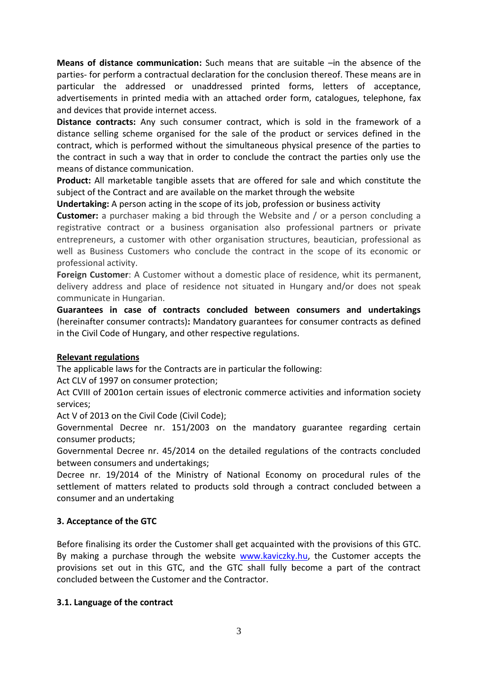**Means of distance communication:** Such means that are suitable –in the absence of the parties- for perform a contractual declaration for the conclusion thereof. These means are in particular the addressed or unaddressed printed forms, letters of acceptance, advertisements in printed media with an attached order form, catalogues, telephone, fax and devices that provide internet access.

**Distance contracts:** Any such consumer contract, which is sold in the framework of a distance selling scheme organised for the sale of the product or services defined in the contract, which is performed without the simultaneous physical presence of the parties to the contract in such a way that in order to conclude the contract the parties only use the means of distance communication.

**Product:** All marketable tangible assets that are offered for sale and which constitute the subject of the Contract and are available on the market through the website

**Undertaking:** A person acting in the scope of its job, profession or business activity

**Customer:** a purchaser making a bid through the Website and / or a person concluding a registrative contract or a business organisation also professional partners or private entrepreneurs, a customer with other organisation structures, beautician, professional as well as Business Customers who conclude the contract in the scope of its economic or professional activity.

**Foreign Customer**: A Customer without a domestic place of residence, whit its permanent, delivery address and place of residence not situated in Hungary and/or does not speak communicate in Hungarian.

**Guarantees in case of contracts concluded between consumers and undertakings** (hereinafter consumer contracts)**:** Mandatory guarantees for consumer contracts as defined in the Civil Code of Hungary, and other respective regulations.

#### **Relevant regulations**

The applicable laws for the Contracts are in particular the following:

Act CLV of 1997 on consumer protection;

Act CVIII of 2001on certain issues of electronic commerce activities and information society services;

Act V of 2013 on the Civil Code (Civil Code);

Governmental Decree nr. 151/2003 on the mandatory guarantee regarding certain consumer products;

Governmental Decree nr. 45/2014 on the detailed regulations of the contracts concluded between consumers and undertakings;

Decree nr. 19/2014 of the Ministry of National Economy on procedural rules of the settlement of matters related to products sold through a contract concluded between a consumer and an undertaking

# **3. Acceptance of the GTC**

Before finalising its order the Customer shall get acquainted with the provisions of this GTC. By making a purchase through the website [www.kaviczky.hu,](http://www.kaviczky.hu/) the Customer accepts the provisions set out in this GTC, and the GTC shall fully become a part of the contract concluded between the Customer and the Contractor.

#### **3.1. Language of the contract**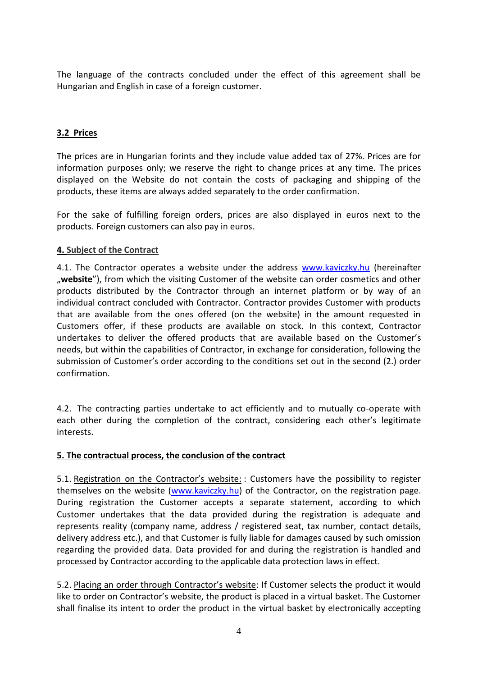The language of the contracts concluded under the effect of this agreement shall be Hungarian and English in case of a foreign customer.

# **3.2 Prices**

The prices are in Hungarian forints and they include value added tax of 27%. Prices are for information purposes only; we reserve the right to change prices at any time. The prices displayed on the Website do not contain the costs of packaging and shipping of the products, these items are always added separately to the order confirmation.

For the sake of fulfilling foreign orders, prices are also displayed in euros next to the products. Foreign customers can also pay in euros.

# **4. Subject of the Contract**

4.1. The Contractor operates a website under the address [www.kaviczky.hu](http://www.kaviczky.hu/) (hereinafter "
website"), from which the visiting Customer of the website can order cosmetics and other products distributed by the Contractor through an internet platform or by way of an individual contract concluded with Contractor. Contractor provides Customer with products that are available from the ones offered (on the website) in the amount requested in Customers offer, if these products are available on stock. In this context, Contractor undertakes to deliver the offered products that are available based on the Customer's needs, but within the capabilities of Contractor, in exchange for consideration, following the submission of Customer's order according to the conditions set out in the second (2.) order confirmation.

4.2. The contracting parties undertake to act efficiently and to mutually co-operate with each other during the completion of the contract, considering each other's legitimate interests.

# **5. The contractual process, the conclusion of the contract**

5.1. Registration on the Contractor's website: : Customers have the possibility to register themselves on the website [\(www.kaviczky.hu\)](http://www.kaviczky.hu/) of the Contractor, on the registration page. During registration the Customer accepts a separate statement, according to which Customer undertakes that the data provided during the registration is adequate and represents reality (company name, address / registered seat, tax number, contact details, delivery address etc.), and that Customer is fully liable for damages caused by such omission regarding the provided data. Data provided for and during the registration is handled and processed by Contractor according to the applicable data protection laws in effect.

5.2. Placing an order through Contractor's website: If Customer selects the product it would like to order on Contractor's website, the product is placed in a virtual basket. The Customer shall finalise its intent to order the product in the virtual basket by electronically accepting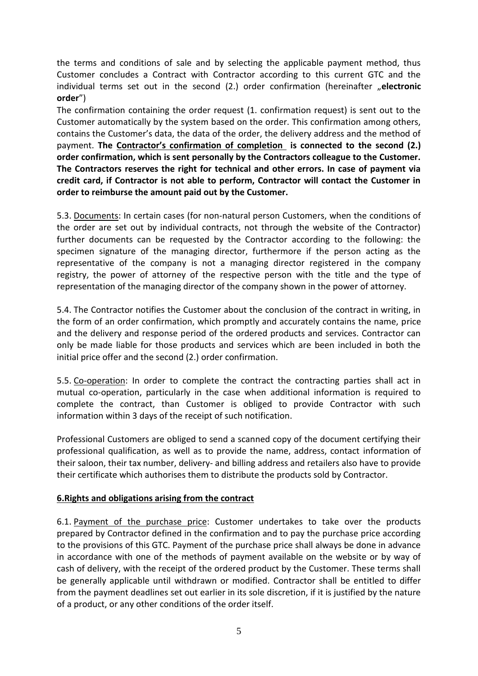the terms and conditions of sale and by selecting the applicable payment method, thus Customer concludes a Contract with Contractor according to this current GTC and the individual terms set out in the second (2.) order confirmation (hereinafter "electronic **order**")

The confirmation containing the order request (1. confirmation request) is sent out to the Customer automatically by the system based on the order. This confirmation among others, contains the Customer's data, the data of the order, the delivery address and the method of payment. **The Contractor's confirmation of completion is connected to the second (2.) order confirmation, which is sent personally by the Contractors colleague to the Customer. The Contractors reserves the right for technical and other errors. In case of payment via credit card, if Contractor is not able to perform, Contractor will contact the Customer in order to reimburse the amount paid out by the Customer.**

5.3. Documents: In certain cases (for non-natural person Customers, when the conditions of the order are set out by individual contracts, not through the website of the Contractor) further documents can be requested by the Contractor according to the following: the specimen signature of the managing director, furthermore if the person acting as the representative of the company is not a managing director registered in the company registry, the power of attorney of the respective person with the title and the type of representation of the managing director of the company shown in the power of attorney.

5.4. The Contractor notifies the Customer about the conclusion of the contract in writing, in the form of an order confirmation, which promptly and accurately contains the name, price and the delivery and response period of the ordered products and services. Contractor can only be made liable for those products and services which are been included in both the initial price offer and the second (2.) order confirmation.

5.5. Co-operation: In order to complete the contract the contracting parties shall act in mutual co-operation, particularly in the case when additional information is required to complete the contract, than Customer is obliged to provide Contractor with such information within 3 days of the receipt of such notification.

Professional Customers are obliged to send a scanned copy of the document certifying their professional qualification, as well as to provide the name, address, contact information of their saloon, their tax number, delivery- and billing address and retailers also have to provide their certificate which authorises them to distribute the products sold by Contractor.

# **6.Rights and obligations arising from the contract**

6.1. Payment of the purchase price: Customer undertakes to take over the products prepared by Contractor defined in the confirmation and to pay the purchase price according to the provisions of this GTC. Payment of the purchase price shall always be done in advance in accordance with one of the methods of payment available on the website or by way of cash of delivery, with the receipt of the ordered product by the Customer. These terms shall be generally applicable until withdrawn or modified. Contractor shall be entitled to differ from the payment deadlines set out earlier in its sole discretion, if it is justified by the nature of a product, or any other conditions of the order itself.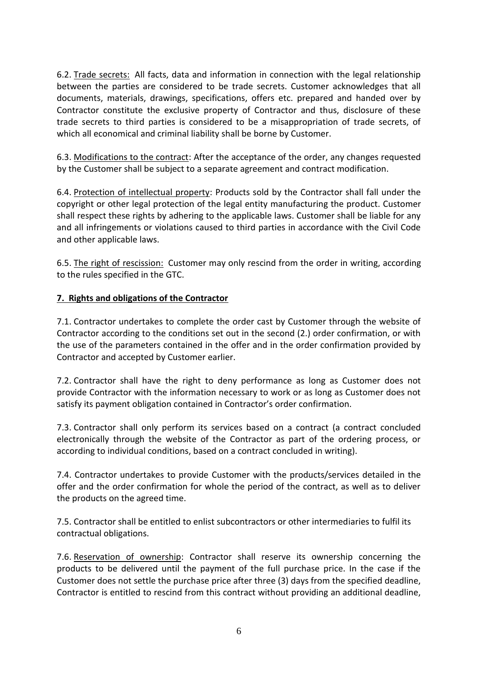6.2. Trade secrets: All facts, data and information in connection with the legal relationship between the parties are considered to be trade secrets. Customer acknowledges that all documents, materials, drawings, specifications, offers etc. prepared and handed over by Contractor constitute the exclusive property of Contractor and thus, disclosure of these trade secrets to third parties is considered to be a misappropriation of trade secrets, of which all economical and criminal liability shall be borne by Customer.

6.3. Modifications to the contract: After the acceptance of the order, any changes requested by the Customer shall be subject to a separate agreement and contract modification.

6.4. Protection of intellectual property: Products sold by the Contractor shall fall under the copyright or other legal protection of the legal entity manufacturing the product. Customer shall respect these rights by adhering to the applicable laws. Customer shall be liable for any and all infringements or violations caused to third parties in accordance with the Civil Code and other applicable laws.

6.5. The right of rescission: Customer may only rescind from the order in writing, according to the rules specified in the GTC.

# **7. Rights and obligations of the Contractor**

7.1. Contractor undertakes to complete the order cast by Customer through the website of Contractor according to the conditions set out in the second (2.) order confirmation, or with the use of the parameters contained in the offer and in the order confirmation provided by Contractor and accepted by Customer earlier.

7.2. Contractor shall have the right to deny performance as long as Customer does not provide Contractor with the information necessary to work or as long as Customer does not satisfy its payment obligation contained in Contractor's order confirmation.

7.3. Contractor shall only perform its services based on a contract (a contract concluded electronically through the website of the Contractor as part of the ordering process, or according to individual conditions, based on a contract concluded in writing).

7.4. Contractor undertakes to provide Customer with the products/services detailed in the offer and the order confirmation for whole the period of the contract, as well as to deliver the products on the agreed time.

7.5. Contractor shall be entitled to enlist subcontractors or other intermediaries to fulfil its contractual obligations.

7.6. Reservation of ownership: Contractor shall reserve its ownership concerning the products to be delivered until the payment of the full purchase price. In the case if the Customer does not settle the purchase price after three (3) days from the specified deadline, Contractor is entitled to rescind from this contract without providing an additional deadline,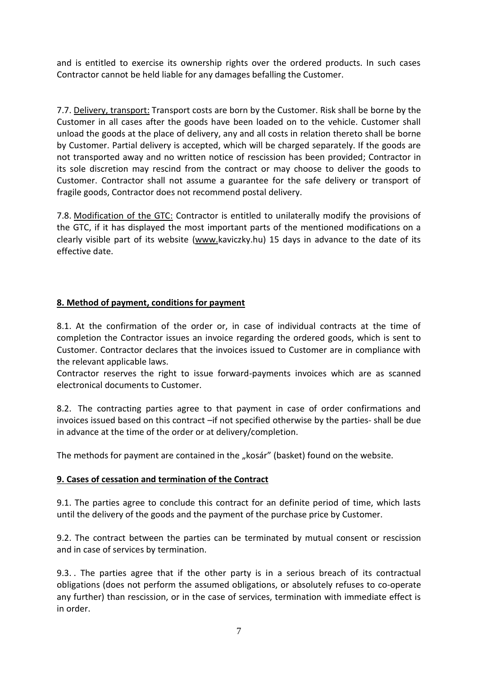and is entitled to exercise its ownership rights over the ordered products. In such cases Contractor cannot be held liable for any damages befalling the Customer.

7.7. Delivery, transport: Transport costs are born by the Customer. Risk shall be borne by the Customer in all cases after the goods have been loaded on to the vehicle. Customer shall unload the goods at the place of delivery, any and all costs in relation thereto shall be borne by Customer. Partial delivery is accepted, which will be charged separately. If the goods are not transported away and no written notice of rescission has been provided; Contractor in its sole discretion may rescind from the contract or may choose to deliver the goods to Customer. Contractor shall not assume a guarantee for the safe delivery or transport of fragile goods, Contractor does not recommend postal delivery.

7.8. Modification of the GTC: Contractor is entitled to unilaterally modify the provisions of the GTC, if it has displayed the most important parts of the mentioned modifications on a clearly visible part of its website [\(www.k](http://www./)aviczky.hu) 15 days in advance to the date of its effective date.

# **8. Method of payment, conditions for payment**

8.1. At the confirmation of the order or, in case of individual contracts at the time of completion the Contractor issues an invoice regarding the ordered goods, which is sent to Customer. Contractor declares that the invoices issued to Customer are in compliance with the relevant applicable laws.

Contractor reserves the right to issue forward-payments invoices which are as scanned electronical documents to Customer.

8.2. The contracting parties agree to that payment in case of order confirmations and invoices issued based on this contract –if not specified otherwise by the parties- shall be due in advance at the time of the order or at delivery/completion.

The methods for payment are contained in the "kosár" (basket) found on the website.

# **9. Cases of cessation and termination of the Contract**

9.1. The parties agree to conclude this contract for an definite period of time, which lasts until the delivery of the goods and the payment of the purchase price by Customer.

9.2. The contract between the parties can be terminated by mutual consent or rescission and in case of services by termination.

9.3. . The parties agree that if the other party is in a serious breach of its contractual obligations (does not perform the assumed obligations, or absolutely refuses to co-operate any further) than rescission, or in the case of services, termination with immediate effect is in order.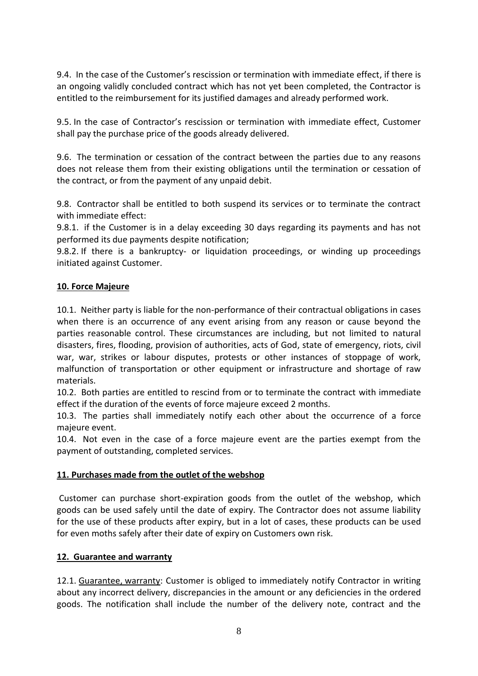9.4. In the case of the Customer's rescission or termination with immediate effect, if there is an ongoing validly concluded contract which has not yet been completed, the Contractor is entitled to the reimbursement for its justified damages and already performed work.

9.5. In the case of Contractor's rescission or termination with immediate effect, Customer shall pay the purchase price of the goods already delivered.

9.6. The termination or cessation of the contract between the parties due to any reasons does not release them from their existing obligations until the termination or cessation of the contract, or from the payment of any unpaid debit.

9.8. Contractor shall be entitled to both suspend its services or to terminate the contract with immediate effect:

9.8.1. if the Customer is in a delay exceeding 30 days regarding its payments and has not performed its due payments despite notification;

9.8.2. If there is a bankruptcy- or liquidation proceedings, or winding up proceedings initiated against Customer.

# **10. Force Majeure**

10.1. Neither party is liable for the non-performance of their contractual obligations in cases when there is an occurrence of any event arising from any reason or cause beyond the parties reasonable control. These circumstances are including, but not limited to natural disasters, fires, flooding, provision of authorities, acts of God, state of emergency, riots, civil war, war, strikes or labour disputes, protests or other instances of stoppage of work, malfunction of transportation or other equipment or infrastructure and shortage of raw materials.

10.2. Both parties are entitled to rescind from or to terminate the contract with immediate effect if the duration of the events of force majeure exceed 2 months.

10.3. The parties shall immediately notify each other about the occurrence of a force majeure event.

10.4. Not even in the case of a force majeure event are the parties exempt from the payment of outstanding, completed services.

# **11. Purchases made from the outlet of the webshop**

Customer can purchase short-expiration goods from the outlet of the webshop, which goods can be used safely until the date of expiry. The Contractor does not assume liability for the use of these products after expiry, but in a lot of cases, these products can be used for even moths safely after their date of expiry on Customers own risk.

#### **12. Guarantee and warranty**

12.1. Guarantee, warranty: Customer is obliged to immediately notify Contractor in writing about any incorrect delivery, discrepancies in the amount or any deficiencies in the ordered goods. The notification shall include the number of the delivery note, contract and the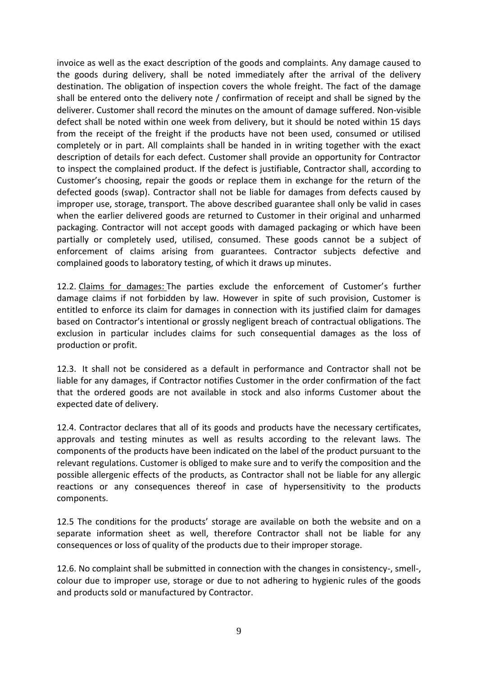invoice as well as the exact description of the goods and complaints. Any damage caused to the goods during delivery, shall be noted immediately after the arrival of the delivery destination. The obligation of inspection covers the whole freight. The fact of the damage shall be entered onto the delivery note / confirmation of receipt and shall be signed by the deliverer. Customer shall record the minutes on the amount of damage suffered. Non-visible defect shall be noted within one week from delivery, but it should be noted within 15 days from the receipt of the freight if the products have not been used, consumed or utilised completely or in part. All complaints shall be handed in in writing together with the exact description of details for each defect. Customer shall provide an opportunity for Contractor to inspect the complained product. If the defect is justifiable, Contractor shall, according to Customer's choosing, repair the goods or replace them in exchange for the return of the defected goods (swap). Contractor shall not be liable for damages from defects caused by improper use, storage, transport. The above described guarantee shall only be valid in cases when the earlier delivered goods are returned to Customer in their original and unharmed packaging. Contractor will not accept goods with damaged packaging or which have been partially or completely used, utilised, consumed. These goods cannot be a subject of enforcement of claims arising from guarantees. Contractor subjects defective and complained goods to laboratory testing, of which it draws up minutes.

12.2. Claims for damages: The parties exclude the enforcement of Customer's further damage claims if not forbidden by law. However in spite of such provision, Customer is entitled to enforce its claim for damages in connection with its justified claim for damages based on Contractor's intentional or grossly negligent breach of contractual obligations. The exclusion in particular includes claims for such consequential damages as the loss of production or profit.

12.3. It shall not be considered as a default in performance and Contractor shall not be liable for any damages, if Contractor notifies Customer in the order confirmation of the fact that the ordered goods are not available in stock and also informs Customer about the expected date of delivery.

12.4. Contractor declares that all of its goods and products have the necessary certificates, approvals and testing minutes as well as results according to the relevant laws. The components of the products have been indicated on the label of the product pursuant to the relevant regulations. Customer is obliged to make sure and to verify the composition and the possible allergenic effects of the products, as Contractor shall not be liable for any allergic reactions or any consequences thereof in case of hypersensitivity to the products components.

12.5 The conditions for the products' storage are available on both the website and on a separate information sheet as well, therefore Contractor shall not be liable for any consequences or loss of quality of the products due to their improper storage.

12.6. No complaint shall be submitted in connection with the changes in consistency-, smell-, colour due to improper use, storage or due to not adhering to hygienic rules of the goods and products sold or manufactured by Contractor.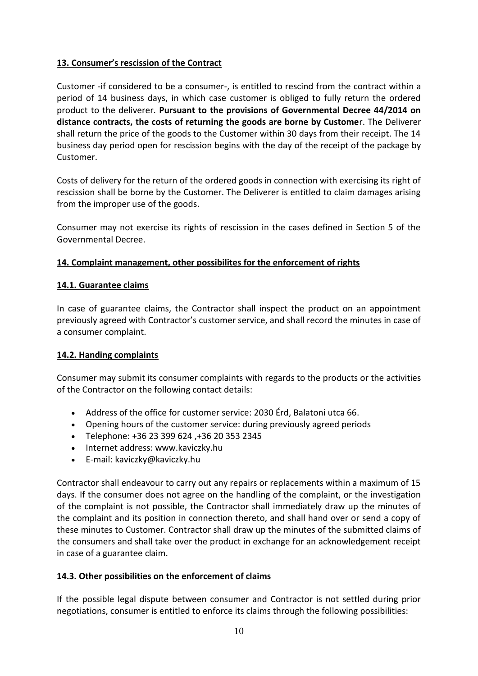# **13. Consumer's rescission of the Contract**

Customer -if considered to be a consumer-, is entitled to rescind from the contract within a period of 14 business days, in which case customer is obliged to fully return the ordered product to the deliverer. **Pursuant to the provisions of Governmental Decree 44/2014 on distance contracts, the costs of returning the goods are borne by Custome**r. The Deliverer shall return the price of the goods to the Customer within 30 days from their receipt. The 14 business day period open for rescission begins with the day of the receipt of the package by Customer.

Costs of delivery for the return of the ordered goods in connection with exercising its right of rescission shall be borne by the Customer. The Deliverer is entitled to claim damages arising from the improper use of the goods.

Consumer may not exercise its rights of rescission in the cases defined in Section 5 of the Governmental Decree.

# **14. Complaint management, other possibilites for the enforcement of rights**

# **14.1. Guarantee claims**

In case of guarantee claims, the Contractor shall inspect the product on an appointment previously agreed with Contractor's customer service, and shall record the minutes in case of a consumer complaint.

# **14.2. Handing complaints**

Consumer may submit its consumer complaints with regards to the products or the activities of the Contractor on the following contact details:

- Address of the office for customer service: 2030 Érd, Balatoni utca 66.
- Opening hours of the customer service: during previously agreed periods
- Telephone: +36 23 399 624 ,+36 20 353 2345
- Internet address: www.kaviczky.hu
- E-mail: [kaviczky@kaviczky.hu](mailto:kaviczky@kaviczky.hu)

Contractor shall endeavour to carry out any repairs or replacements within a maximum of 15 days. If the consumer does not agree on the handling of the complaint, or the investigation of the complaint is not possible, the Contractor shall immediately draw up the minutes of the complaint and its position in connection thereto, and shall hand over or send a copy of these minutes to Customer. Contractor shall draw up the minutes of the submitted claims of the consumers and shall take over the product in exchange for an acknowledgement receipt in case of a guarantee claim.

# **14.3. Other possibilities on the enforcement of claims**

If the possible legal dispute between consumer and Contractor is not settled during prior negotiations, consumer is entitled to enforce its claims through the following possibilities: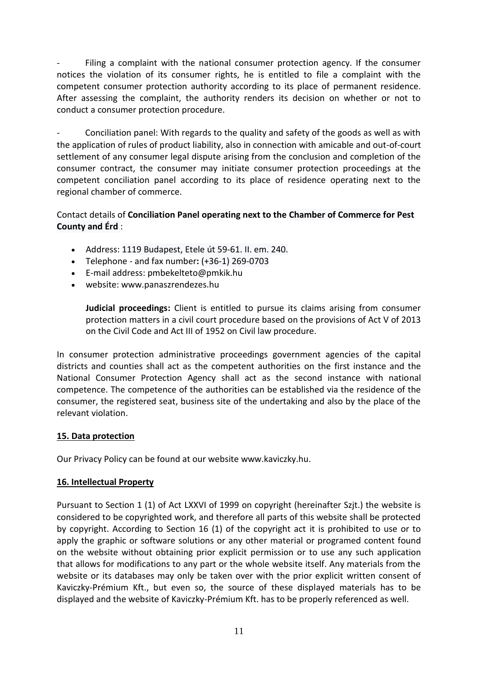Filing a complaint with the national consumer protection agency. If the consumer notices the violation of its consumer rights, he is entitled to file a complaint with the competent consumer protection authority according to its place of permanent residence. After assessing the complaint, the authority renders its decision on whether or not to conduct a consumer protection procedure.

Conciliation panel: With regards to the quality and safety of the goods as well as with the application of rules of product liability, also in connection with amicable and out-of-court settlement of any consumer legal dispute arising from the conclusion and completion of the consumer contract, the consumer may initiate consumer protection proceedings at the competent conciliation panel according to its place of residence operating next to the regional chamber of commerce.

# Contact details of **Conciliation Panel operating next to the Chamber of Commerce for Pest County and Érd** :

- Address: 1119 Budapest, Etele út 59-61. II. em. 240.
- Telephone and fax number**:** (+36-1) 269-0703
- E-mail address: pmbekelteto@pmkik.hu
- website: www.panaszrendezes.hu

**Judicial proceedings:** Client is entitled to pursue its claims arising from consumer protection matters in a civil court procedure based on the provisions of Act V of 2013 on the Civil Code and Act III of 1952 on Civil law procedure.

In consumer protection administrative proceedings government agencies of the capital districts and counties shall act as the competent authorities on the first instance and the National Consumer Protection Agency shall act as the second instance with national competence. The competence of the authorities can be established via the residence of the consumer, the registered seat, business site of the undertaking and also by the place of the relevant violation.

# **15. Data protection**

Our Privacy Policy can be found at our website www.kaviczky.hu.

# **16. Intellectual Property**

Pursuant to Section 1 (1) of Act LXXVI of 1999 on copyright (hereinafter Szjt.) the website is considered to be copyrighted work, and therefore all parts of this website shall be protected by copyright. According to Section 16 (1) of the copyright act it is prohibited to use or to apply the graphic or software solutions or any other material or programed content found on the website without obtaining prior explicit permission or to use any such application that allows for modifications to any part or the whole website itself. Any materials from the website or its databases may only be taken over with the prior explicit written consent of Kaviczky-Prémium Kft., but even so, the source of these displayed materials has to be displayed and the website of Kaviczky-Prémium Kft. has to be properly referenced as well.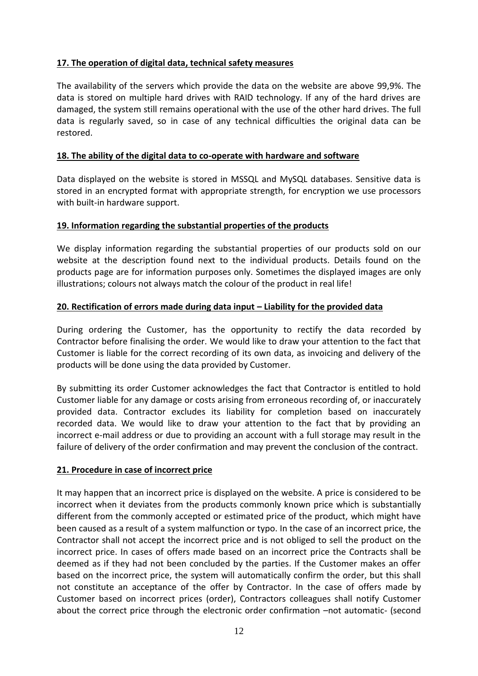# **17. The operation of digital data, technical safety measures**

The availability of the servers which provide the data on the website are above 99,9%. The data is stored on multiple hard drives with RAID technology. If any of the hard drives are damaged, the system still remains operational with the use of the other hard drives. The full data is regularly saved, so in case of any technical difficulties the original data can be restored.

# **18. The ability of the digital data to co-operate with hardware and software**

Data displayed on the website is stored in MSSQL and MySQL databases. Sensitive data is stored in an encrypted format with appropriate strength, for encryption we use processors with built-in hardware support.

# **19. Information regarding the substantial properties of the products**

We display information regarding the substantial properties of our products sold on our website at the description found next to the individual products. Details found on the products page are for information purposes only. Sometimes the displayed images are only illustrations; colours not always match the colour of the product in real life!

# **20. Rectification of errors made during data input – Liability for the provided data**

During ordering the Customer, has the opportunity to rectify the data recorded by Contractor before finalising the order. We would like to draw your attention to the fact that Customer is liable for the correct recording of its own data, as invoicing and delivery of the products will be done using the data provided by Customer.

By submitting its order Customer acknowledges the fact that Contractor is entitled to hold Customer liable for any damage or costs arising from erroneous recording of, or inaccurately provided data. Contractor excludes its liability for completion based on inaccurately recorded data. We would like to draw your attention to the fact that by providing an incorrect e-mail address or due to providing an account with a full storage may result in the failure of delivery of the order confirmation and may prevent the conclusion of the contract.

# **21. Procedure in case of incorrect price**

It may happen that an incorrect price is displayed on the website. A price is considered to be incorrect when it deviates from the products commonly known price which is substantially different from the commonly accepted or estimated price of the product, which might have been caused as a result of a system malfunction or typo. In the case of an incorrect price, the Contractor shall not accept the incorrect price and is not obliged to sell the product on the incorrect price. In cases of offers made based on an incorrect price the Contracts shall be deemed as if they had not been concluded by the parties. If the Customer makes an offer based on the incorrect price, the system will automatically confirm the order, but this shall not constitute an acceptance of the offer by Contractor. In the case of offers made by Customer based on incorrect prices (order), Contractors colleagues shall notify Customer about the correct price through the electronic order confirmation –not automatic- (second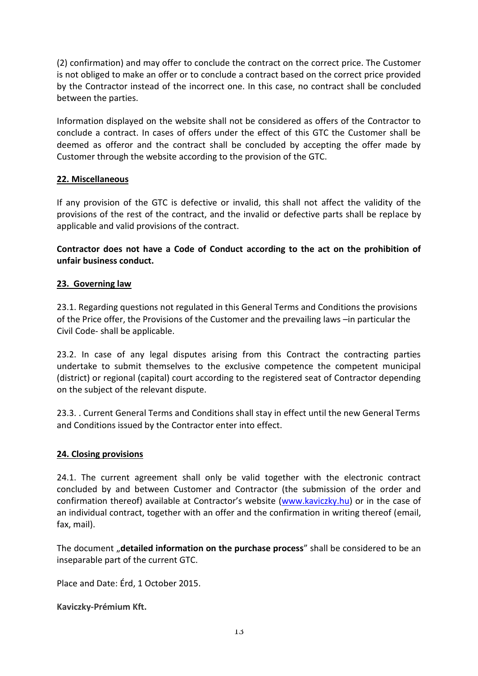(2) confirmation) and may offer to conclude the contract on the correct price. The Customer is not obliged to make an offer or to conclude a contract based on the correct price provided by the Contractor instead of the incorrect one. In this case, no contract shall be concluded between the parties.

Information displayed on the website shall not be considered as offers of the Contractor to conclude a contract. In cases of offers under the effect of this GTC the Customer shall be deemed as offeror and the contract shall be concluded by accepting the offer made by Customer through the website according to the provision of the GTC.

# **22. Miscellaneous**

If any provision of the GTC is defective or invalid, this shall not affect the validity of the provisions of the rest of the contract, and the invalid or defective parts shall be replace by applicable and valid provisions of the contract.

**Contractor does not have a Code of Conduct according to the act on the prohibition of unfair business conduct.**

### **23. Governing law**

23.1. Regarding questions not regulated in this General Terms and Conditions the provisions of the Price offer, the Provisions of the Customer and the prevailing laws –in particular the Civil Code- shall be applicable.

23.2. In case of any legal disputes arising from this Contract the contracting parties undertake to submit themselves to the exclusive competence the competent municipal (district) or regional (capital) court according to the registered seat of Contractor depending on the subject of the relevant dispute.

23.3. . Current General Terms and Conditions shall stay in effect until the new General Terms and Conditions issued by the Contractor enter into effect.

#### **24. Closing provisions**

24.1. The current agreement shall only be valid together with the electronic contract concluded by and between Customer and Contractor (the submission of the order and confirmation thereof) available at Contractor's website ([www.kaviczky.hu\)](http://www.kaviczky.hu/) or in the case of an individual contract, together with an offer and the confirmation in writing thereof (email, fax, mail).

The document "detailed information on the purchase process" shall be considered to be an inseparable part of the current GTC.

Place and Date: Érd, 1 October 2015.

#### **Kaviczky-Prémium Kft.**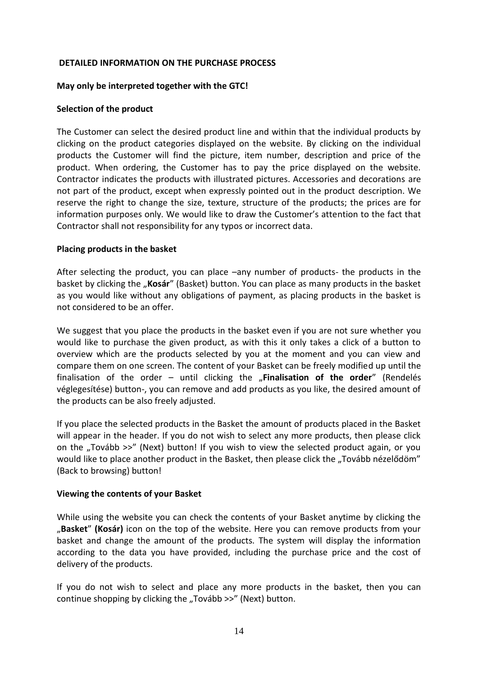#### **DETAILED INFORMATION ON THE PURCHASE PROCESS**

#### **May only be interpreted together with the GTC!**

#### **Selection of the product**

The Customer can select the desired product line and within that the individual products by clicking on the product categories displayed on the website. By clicking on the individual products the Customer will find the picture, item number, description and price of the product. When ordering, the Customer has to pay the price displayed on the website. Contractor indicates the products with illustrated pictures. Accessories and decorations are not part of the product, except when expressly pointed out in the product description. We reserve the right to change the size, texture, structure of the products; the prices are for information purposes only. We would like to draw the Customer's attention to the fact that Contractor shall not responsibility for any typos or incorrect data.

#### **Placing products in the basket**

After selecting the product, you can place –any number of products- the products in the basket by clicking the "**Kosár**" (Basket) button. You can place as many products in the basket as you would like without any obligations of payment, as placing products in the basket is not considered to be an offer.

We suggest that you place the products in the basket even if you are not sure whether you would like to purchase the given product, as with this it only takes a click of a button to overview which are the products selected by you at the moment and you can view and compare them on one screen. The content of your Basket can be freely modified up until the finalisation of the order – until clicking the "Finalisation of the order" (Rendelés véglegesítése) button-, you can remove and add products as you like, the desired amount of the products can be also freely adjusted.

If you place the selected products in the Basket the amount of products placed in the Basket will appear in the header. If you do not wish to select any more products, then please click on the "Tovább >>" (Next) button! If you wish to view the selected product again, or you would like to place another product in the Basket, then please click the "Tovább nézelődöm" (Back to browsing) button!

#### **Viewing the contents of your Basket**

While using the website you can check the contents of your Basket anytime by clicking the "**Basket**" **(Kosár)** icon on the top of the website. Here you can remove products from your basket and change the amount of the products. The system will display the information according to the data you have provided, including the purchase price and the cost of delivery of the products.

If you do not wish to select and place any more products in the basket, then you can continue shopping by clicking the "Tovább >>" (Next) button.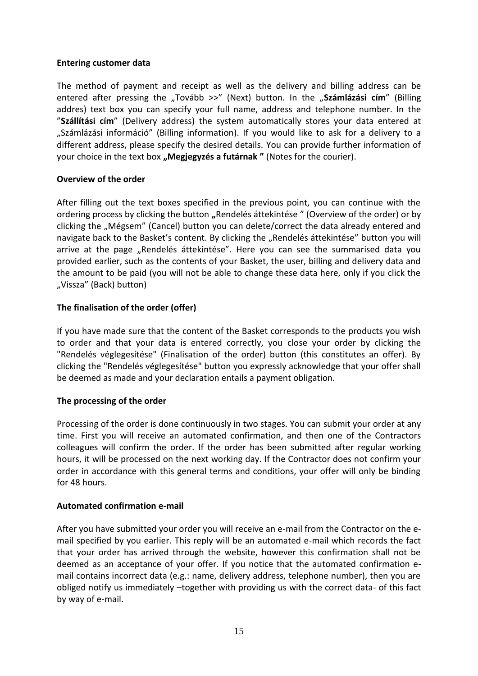### **Entering customer data**

The method of payment and receipt as well as the delivery and billing address can be entered after pressing the "Tovább >>" (Next) button. In the "Számlázási cím" (Billing addres) text box you can specify your full name, address and telephone number. In the "**Szállítási cím**" (Delivery address) the system automatically stores your data entered at "Számlázási információ" (Billing information). If you would like to ask for a delivery to a different address, please specify the desired details. You can provide further information of your choice in the text box "Megjegyzés a futárnak " (Notes for the courier).

### **Overview of the order**

After filling out the text boxes specified in the previous point, you can continue with the ordering process by clicking the button "Rendelés áttekintése" (Overview of the order) or by clicking the "Mégsem" (Cancel) button you can delete/correct the data already entered and navigate back to the Basket's content. By clicking the "Rendelés áttekintése" button you will arrive at the page "Rendelés áttekintése". Here you can see the summarised data you provided earlier, such as the contents of your Basket, the user, billing and delivery data and the amount to be paid (you will not be able to change these data here, only if you click the "Vissza" (Back) button)

# **The finalisation of the order (offer)**

If you have made sure that the content of the Basket corresponds to the products you wish to order and that your data is entered correctly, you close your order by clicking the "Rendelés véglegesítése" (Finalisation of the order) button (this constitutes an offer). By clicking the "Rendelés véglegesítése" button you expressly acknowledge that your offer shall be deemed as made and your declaration entails a payment obligation.

# **The processing of the order**

Processing of the order is done continuously in two stages. You can submit your order at any time. First you will receive an automated confirmation, and then one of the Contractors colleagues will confirm the order. If the order has been submitted after regular working hours, it will be processed on the next working day. If the Contractor does not confirm your order in accordance with this general terms and conditions, your offer will only be binding for 48 hours.

# **Automated confirmation e-mail**

After you have submitted your order you will receive an e-mail from the Contractor on the email specified by you earlier. This reply will be an automated e-mail which records the fact that your order has arrived through the website, however this confirmation shall not be deemed as an acceptance of your offer. If you notice that the automated confirmation email contains incorrect data (e.g.: name, delivery address, telephone number), then you are obliged notify us immediately –together with providing us with the correct data- of this fact by way of e-mail.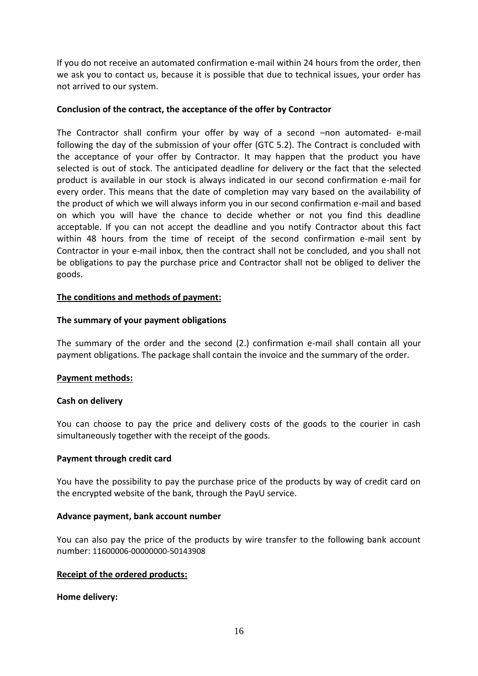If you do not receive an automated confirmation e-mail within 24 hours from the order, then we ask you to contact us, because it is possible that due to technical issues, your order has not arrived to our system.

## **Conclusion of the contract, the acceptance of the offer by Contractor**

The Contractor shall confirm your offer by way of a second –non automated- e-mail following the day of the submission of your offer (GTC 5.2). The Contract is concluded with the acceptance of your offer by Contractor. It may happen that the product you have selected is out of stock. The anticipated deadline for delivery or the fact that the selected product is available in our stock is always indicated in our second confirmation e-mail for every order. This means that the date of completion may vary based on the availability of the product of which we will always inform you in our second confirmation e-mail and based on which you will have the chance to decide whether or not you find this deadline acceptable. If you can not accept the deadline and you notify Contractor about this fact within 48 hours from the time of receipt of the second confirmation e-mail sent by Contractor in your e-mail inbox, then the contract shall not be concluded, and you shall not be obligations to pay the purchase price and Contractor shall not be obliged to deliver the goods.

### **The conditions and methods of payment:**

### **The summary of your payment obligations**

The summary of the order and the second (2.) confirmation e-mail shall contain all your payment obligations. The package shall contain the invoice and the summary of the order.

#### **Payment methods:**

#### **Cash on delivery**

You can choose to pay the price and delivery costs of the goods to the courier in cash simultaneously together with the receipt of the goods.

#### **Payment through credit card**

You have the possibility to pay the purchase price of the products by way of credit card on the encrypted website of the bank, through the PayU service.

#### **Advance payment, bank account number**

You can also pay the price of the products by wire transfer to the following bank account number: 11600006-00000000-50143908

#### **Receipt of the ordered products:**

**Home delivery:**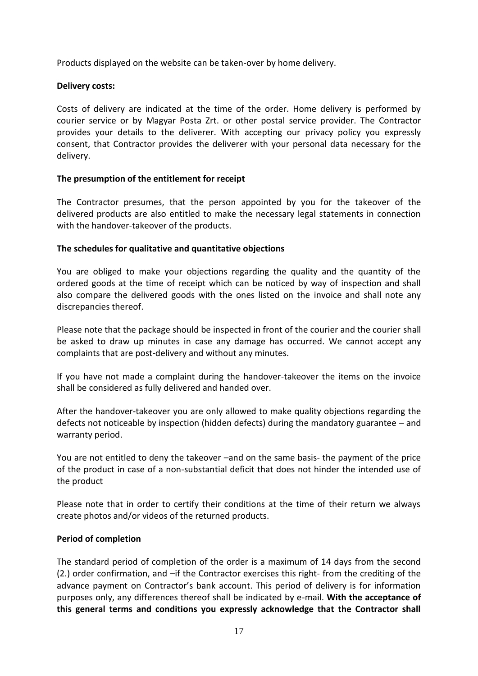Products displayed on the website can be taken-over by home delivery.

### **Delivery costs:**

Costs of delivery are indicated at the time of the order. Home delivery is performed by courier service or by Magyar Posta Zrt. or other postal service provider. The Contractor provides your details to the deliverer. With accepting our privacy policy you expressly consent, that Contractor provides the deliverer with your personal data necessary for the delivery.

### **The presumption of the entitlement for receipt**

The Contractor presumes, that the person appointed by you for the takeover of the delivered products are also entitled to make the necessary legal statements in connection with the handover-takeover of the products.

### **The schedules for qualitative and quantitative objections**

You are obliged to make your objections regarding the quality and the quantity of the ordered goods at the time of receipt which can be noticed by way of inspection and shall also compare the delivered goods with the ones listed on the invoice and shall note any discrepancies thereof.

Please note that the package should be inspected in front of the courier and the courier shall be asked to draw up minutes in case any damage has occurred. We cannot accept any complaints that are post-delivery and without any minutes.

If you have not made a complaint during the handover-takeover the items on the invoice shall be considered as fully delivered and handed over.

After the handover-takeover you are only allowed to make quality objections regarding the defects not noticeable by inspection (hidden defects) during the mandatory guarantee – and warranty period.

You are not entitled to deny the takeover –and on the same basis- the payment of the price of the product in case of a non-substantial deficit that does not hinder the intended use of the product

Please note that in order to certify their conditions at the time of their return we always create photos and/or videos of the returned products.

#### **Period of completion**

The standard period of completion of the order is a maximum of 14 days from the second (2.) order confirmation, and –if the Contractor exercises this right- from the crediting of the advance payment on Contractor's bank account. This period of delivery is for information purposes only, any differences thereof shall be indicated by e-mail. **With the acceptance of this general terms and conditions you expressly acknowledge that the Contractor shall**